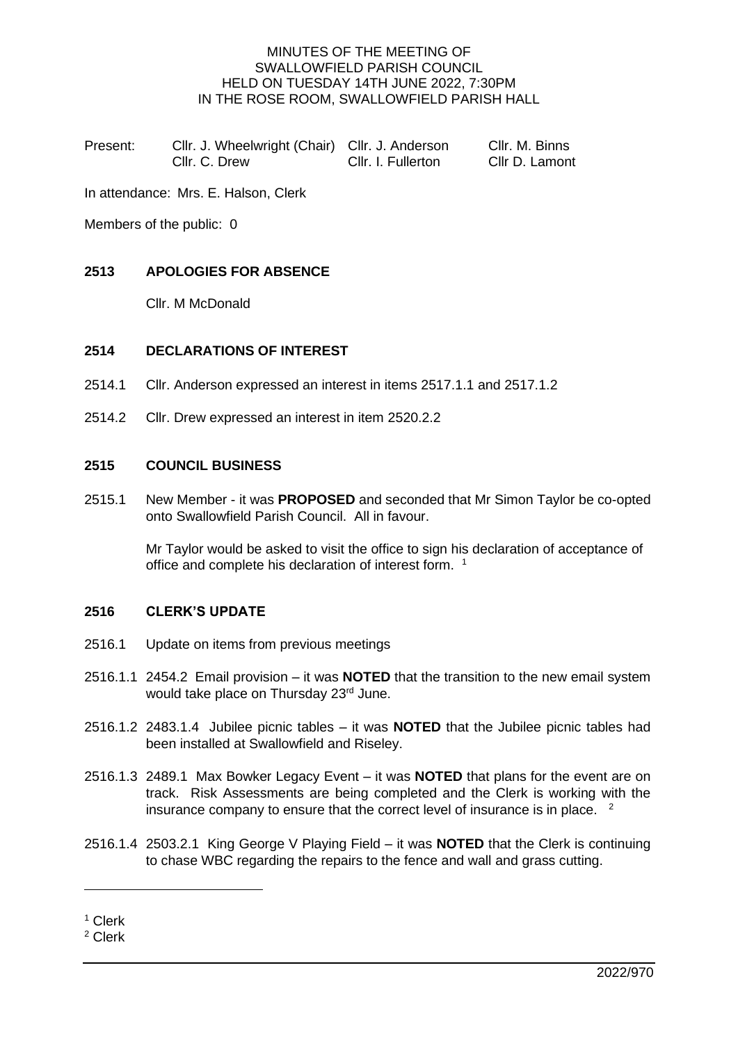### MINUTES OF THE MEETING OF SWALLOWFIELD PARISH COUNCIL HELD ON TUESDAY 14TH JUNE 2022, 7:30PM IN THE ROSE ROOM, SWALLOWFIELD PARISH HALL

| Present: | Cllr. J. Wheelwright (Chair) Cllr. J. Anderson |                    | Cllr. M. Binns |
|----------|------------------------------------------------|--------------------|----------------|
|          | Cllr. C. Drew                                  | Cllr. I. Fullerton | Cllr D. Lamont |

In attendance: Mrs. E. Halson, Clerk

Members of the public: 0

### **2513 APOLOGIES FOR ABSENCE**

Cllr. M McDonald

#### **2514 DECLARATIONS OF INTEREST**

- 2514.1 Cllr. Anderson expressed an interest in items 2517.1.1 and 2517.1.2
- 2514.2 Cllr. Drew expressed an interest in item 2520.2.2

#### **2515 COUNCIL BUSINESS**

2515.1 New Member - it was **PROPOSED** and seconded that Mr Simon Taylor be co-opted onto Swallowfield Parish Council. All in favour.

> Mr Taylor would be asked to visit the office to sign his declaration of acceptance of office and complete his declaration of interest form. <sup>1</sup>

### **2516 CLERK'S UPDATE**

- 2516.1 Update on items from previous meetings
- 2516.1.1 2454.2 Email provision it was **NOTED** that the transition to the new email system would take place on Thursday 23rd June.
- 2516.1.2 2483.1.4 Jubilee picnic tables it was **NOTED** that the Jubilee picnic tables had been installed at Swallowfield and Riseley.
- 2516.1.3 2489.1 Max Bowker Legacy Event it was **NOTED** that plans for the event are on track. Risk Assessments are being completed and the Clerk is working with the insurance company to ensure that the correct level of insurance is in place.  $2$
- 2516.1.4 2503.2.1 King George V Playing Field it was **NOTED** that the Clerk is continuing to chase WBC regarding the repairs to the fence and wall and grass cutting.

<sup>1</sup> Clerk

<sup>2</sup> Clerk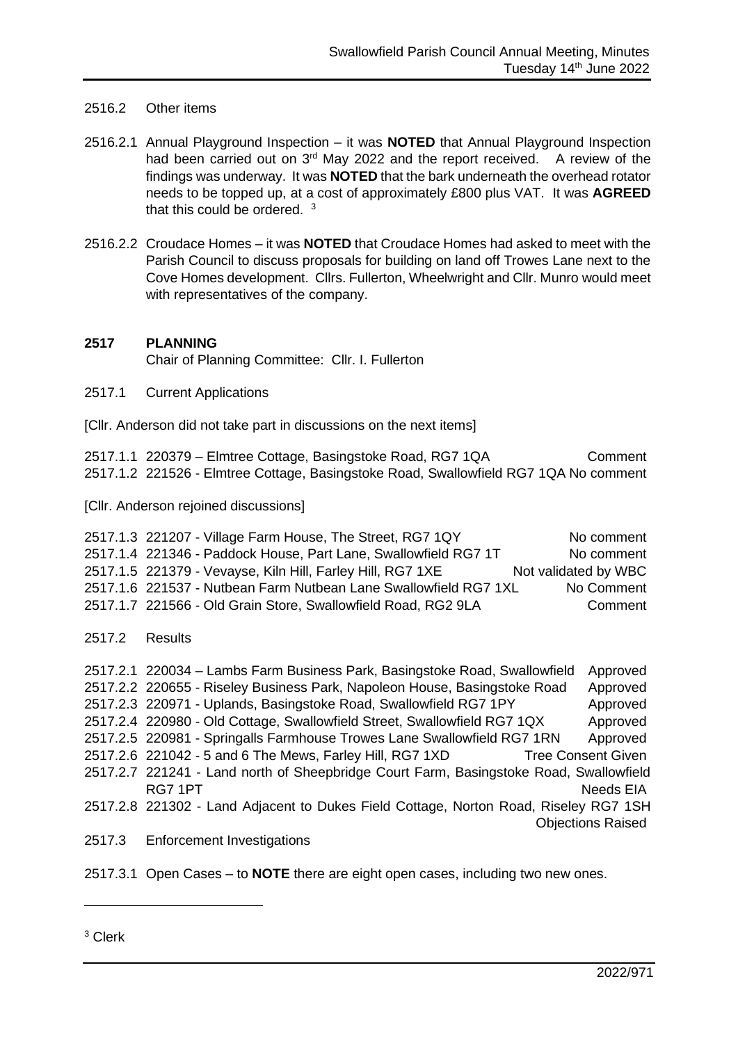### 2516.2 Other items

- 2516.2.1 Annual Playground Inspection it was **NOTED** that Annual Playground Inspection had been carried out on 3<sup>rd</sup> May 2022 and the report received. A review of the findings was underway. It was **NOTED** that the bark underneath the overhead rotator needs to be topped up, at a cost of approximately £800 plus VAT. It was **AGREED** that this could be ordered. <sup>3</sup>
- 2516.2.2 Croudace Homes it was **NOTED** that Croudace Homes had asked to meet with the Parish Council to discuss proposals for building on land off Trowes Lane next to the Cove Homes development. Cllrs. Fullerton, Wheelwright and Cllr. Munro would meet with representatives of the company.

### **2517 PLANNING**

Chair of Planning Committee: Cllr. I. Fullerton

2517.1 Current Applications

[Cllr. Anderson did not take part in discussions on the next items]

2517.1.1 220379 – Elmtree Cottage, Basingstoke Road, RG7 1QA Comment 2517.1.2 221526 - Elmtree Cottage, Basingstoke Road, Swallowfield RG7 1QA No comment

[Cllr. Anderson rejoined discussions]

2517.1.3 221207 - Village Farm House, The Street, RG7 1QY No comment 2517.1.4 221346 - Paddock House, Part Lane, Swallowfield RG7 1T No comment 2517.1.5 221379 - Vevayse, Kiln Hill, Farley Hill, RG7 1XE Not validated by WBC 2517.1.6 221537 - Nutbean Farm Nutbean Lane Swallowfield RG7 1XL No Comment 2517.1.7 221566 - Old Grain Store, Swallowfield Road, RG2 9LA Comment 2517.2 Results 2517.2.1 220034 – Lambs Farm Business Park, Basingstoke Road, Swallowfield Approved 2517.2.2 220655 - Riseley Business Park, Napoleon House, Basingstoke Road Approved

2517.2.3 220971 - Uplands, Basingstoke Road, Swallowfield RG7 1PY Approved 2517.2.4 220980 - Old Cottage, Swallowfield Street, Swallowfield RG7 1QX Approved 2517.2.5 220981 - Springalls Farmhouse Trowes Lane Swallowfield RG7 1RN Approved 2517.2.6 221042 - 5 and 6 The Mews, Farley Hill, RG7 1XD Tree Consent Given 2517.2.7 221241 - Land north of Sheepbridge Court Farm, Basingstoke Road, Swallowfield RG7 1PT Needs EIA 2517.2.8 221302 - Land Adjacent to Dukes Field Cottage, Norton Road, Riseley RG7 1SH Objections Raised 2517.3 Enforcement Investigations

2517.3.1 Open Cases – to **NOTE** there are eight open cases, including two new ones.

<sup>3</sup> Clerk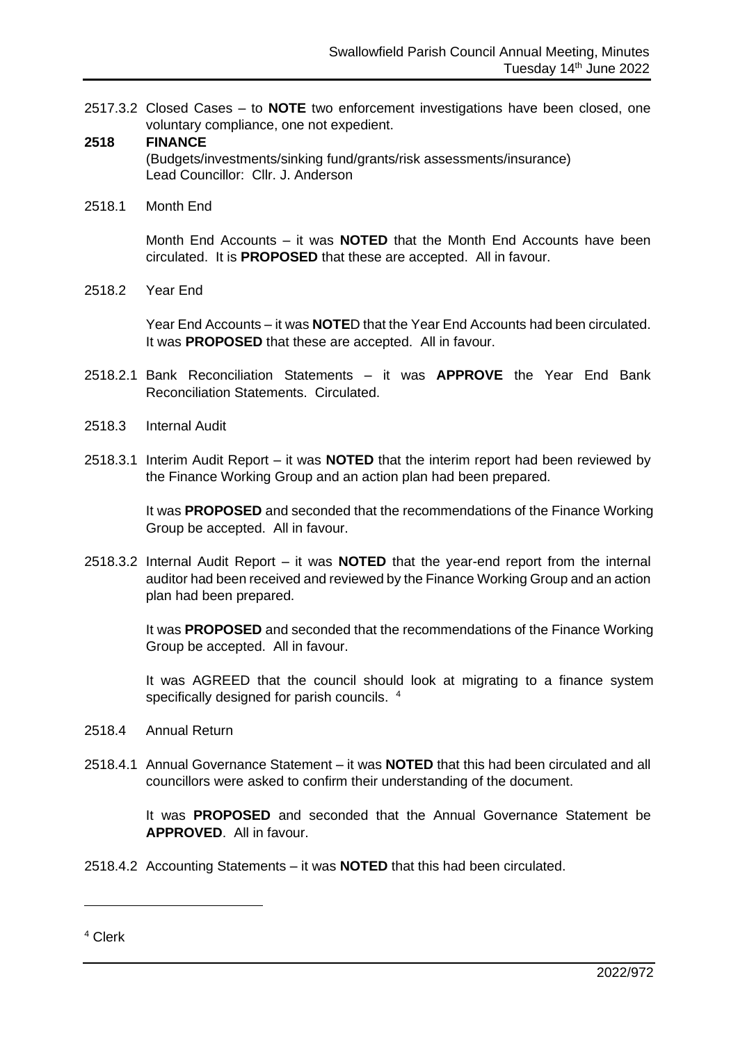2517.3.2 Closed Cases – to **NOTE** two enforcement investigations have been closed, one voluntary compliance, one not expedient.

### **2518 FINANCE**

(Budgets/investments/sinking fund/grants/risk assessments/insurance) Lead Councillor: Cllr. J. Anderson

2518.1 Month End

Month End Accounts – it was **NOTED** that the Month End Accounts have been circulated. It is **PROPOSED** that these are accepted. All in favour.

2518.2 Year End

Year End Accounts – it was **NOTE**D that the Year End Accounts had been circulated. It was **PROPOSED** that these are accepted. All in favour.

- 2518.2.1 Bank Reconciliation Statements it was **APPROVE** the Year End Bank Reconciliation Statements. Circulated.
- 2518.3 Internal Audit
- 2518.3.1 Interim Audit Report it was **NOTED** that the interim report had been reviewed by the Finance Working Group and an action plan had been prepared.

It was **PROPOSED** and seconded that the recommendations of the Finance Working Group be accepted. All in favour.

2518.3.2 Internal Audit Report – it was **NOTED** that the year-end report from the internal auditor had been received and reviewed by the Finance Working Group and an action plan had been prepared.

> It was **PROPOSED** and seconded that the recommendations of the Finance Working Group be accepted. All in favour.

> It was AGREED that the council should look at migrating to a finance system specifically designed for parish councils. <sup>4</sup>

- 2518.4 Annual Return
- 2518.4.1 Annual Governance Statement it was **NOTED** that this had been circulated and all councillors were asked to confirm their understanding of the document.

It was **PROPOSED** and seconded that the Annual Governance Statement be **APPROVED**. All in favour.

2518.4.2 Accounting Statements – it was **NOTED** that this had been circulated.

<sup>4</sup> Clerk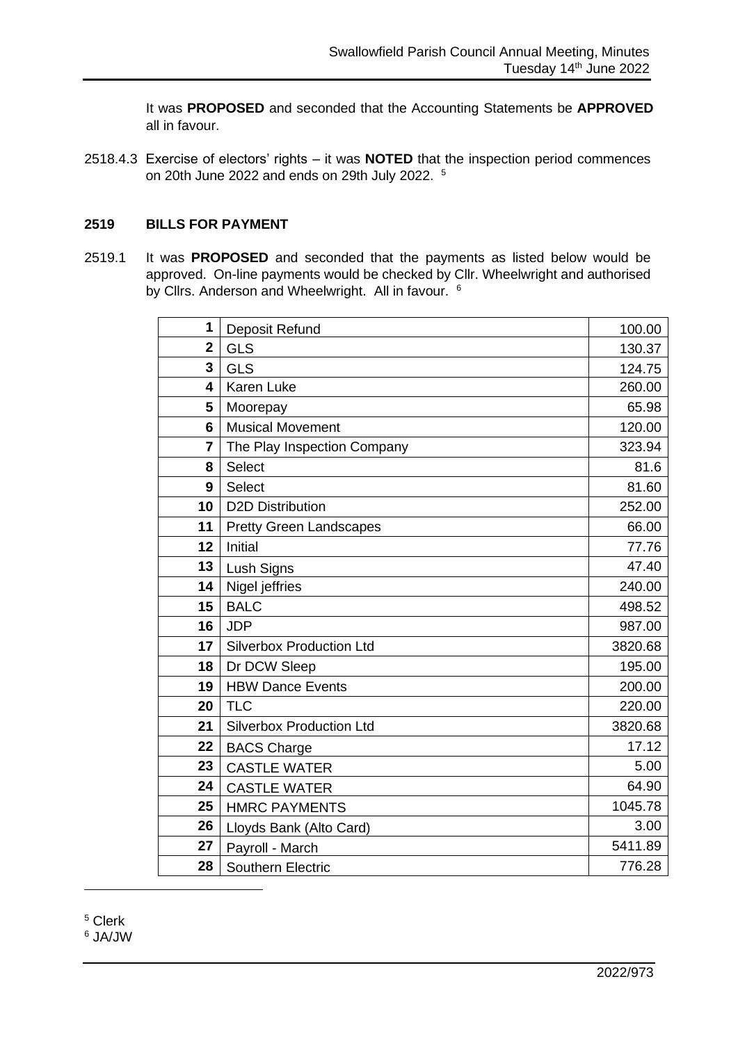It was **PROPOSED** and seconded that the Accounting Statements be **APPROVED** all in favour.

2518.4.3 Exercise of electors' rights – it was **NOTED** that the inspection period commences on 20th June 2022 and ends on 29th July 2022. 5

#### **BILLS FOR PAYMENT**

2519.1 It was **PROPOSED** and seconded that the payments as listed below would be approved. On-line payments would be checked by Cllr. Wheelwright and authorised by Cllrs. Anderson and Wheelwright. All in favour. <sup>6</sup>

| 1           | Deposit Refund                  | 100.00  |
|-------------|---------------------------------|---------|
| $\mathbf 2$ | <b>GLS</b>                      | 130.37  |
| 3           | <b>GLS</b>                      | 124.75  |
| 4           | <b>Karen Luke</b>               | 260.00  |
| 5           | Moorepay                        | 65.98   |
| 6           | <b>Musical Movement</b>         | 120.00  |
| 7           | The Play Inspection Company     | 323.94  |
| 8           | <b>Select</b>                   | 81.6    |
| 9           | Select                          | 81.60   |
| 10          | <b>D2D Distribution</b>         | 252.00  |
| 11          | <b>Pretty Green Landscapes</b>  | 66.00   |
| 12          | Initial                         | 77.76   |
| 13          | Lush Signs                      | 47.40   |
| 14          | Nigel jeffries                  | 240.00  |
| 15          | <b>BALC</b>                     | 498.52  |
| 16          | <b>JDP</b>                      | 987.00  |
| 17          | <b>Silverbox Production Ltd</b> | 3820.68 |
| 18          | Dr DCW Sleep                    | 195.00  |
| 19          | <b>HBW Dance Events</b>         | 200.00  |
| 20          | <b>TLC</b>                      | 220.00  |
| 21          | <b>Silverbox Production Ltd</b> | 3820.68 |
| 22          | <b>BACS Charge</b>              | 17.12   |
| 23          | <b>CASTLE WATER</b>             | 5.00    |
| 24          | <b>CASTLE WATER</b>             | 64.90   |
| 25          | <b>HMRC PAYMENTS</b>            | 1045.78 |
| 26          | Lloyds Bank (Alto Card)         | 3.00    |
| 27          | Payroll - March                 | 5411.89 |
| 28          | <b>Southern Electric</b>        | 776.28  |

Clerk

JA/JW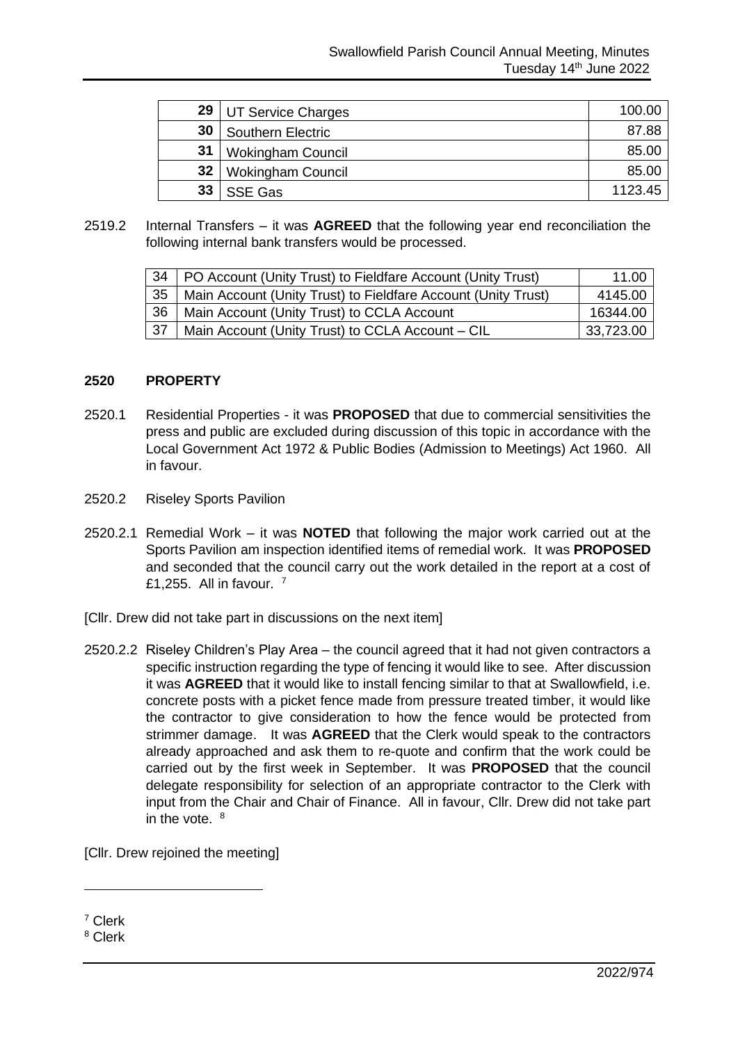| 29 | UT Service Charges       | 100.00  |
|----|--------------------------|---------|
| 30 | Southern Electric        | 87.88   |
| 31 | <b>Wokingham Council</b> | 85.00   |
| 32 | <b>Wokingham Council</b> | 85.00   |
| 33 | <b>SSE Gas</b>           | 1123.45 |

2519.2 Internal Transfers – it was **AGREED** that the following year end reconciliation the following internal bank transfers would be processed.

|      | 34   PO Account (Unity Trust) to Fieldfare Account (Unity Trust) | 11.00     |
|------|------------------------------------------------------------------|-----------|
| 35   | Main Account (Unity Trust) to Fieldfare Account (Unity Trust)    | 4145.00   |
| 36   | Main Account (Unity Trust) to CCLA Account                       | 16344.00  |
| ∣ 37 | Main Account (Unity Trust) to CCLA Account – CIL                 | 33,723.00 |

#### **2520 PROPERTY**

- 2520.1 Residential Properties it was **PROPOSED** that due to commercial sensitivities the press and public are excluded during discussion of this topic in accordance with the Local Government Act 1972 & Public Bodies (Admission to Meetings) Act 1960. All in favour.
- 2520.2 Riseley Sports Pavilion
- 2520.2.1 Remedial Work it was **NOTED** that following the major work carried out at the Sports Pavilion am inspection identified items of remedial work. It was **PROPOSED** and seconded that the council carry out the work detailed in the report at a cost of £1,255. All in favour.  $7$
- [Cllr. Drew did not take part in discussions on the next item]
- 2520.2.2 Riseley Children's Play Area the council agreed that it had not given contractors a specific instruction regarding the type of fencing it would like to see. After discussion it was **AGREED** that it would like to install fencing similar to that at Swallowfield, i.e. concrete posts with a picket fence made from pressure treated timber, it would like the contractor to give consideration to how the fence would be protected from strimmer damage. It was **AGREED** that the Clerk would speak to the contractors already approached and ask them to re-quote and confirm that the work could be carried out by the first week in September. It was **PROPOSED** that the council delegate responsibility for selection of an appropriate contractor to the Clerk with input from the Chair and Chair of Finance. All in favour, Cllr. Drew did not take part in the vote. <sup>8</sup>

[Cllr. Drew rejoined the meeting]

<sup>7</sup> Clerk

<sup>8</sup> Clerk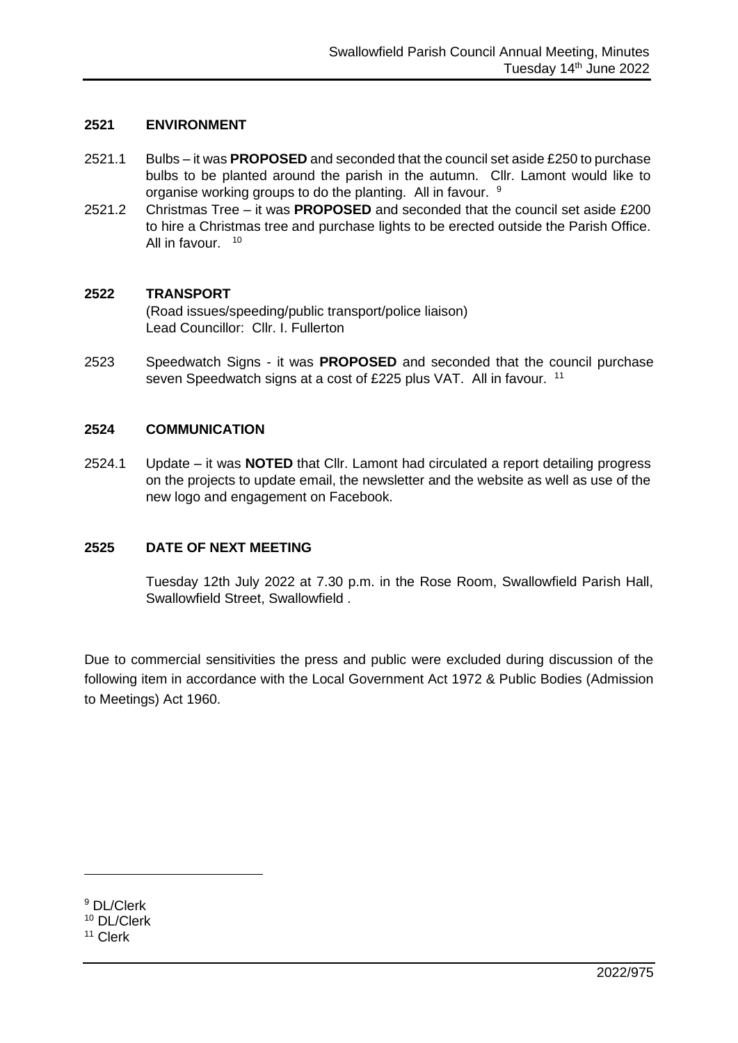#### **2521 ENVIRONMENT**

- 2521.1 Bulbs it was **PROPOSED** and seconded that the council set aside £250 to purchase bulbs to be planted around the parish in the autumn. Cllr. Lamont would like to organise working groups to do the planting. All in favour. <sup>9</sup>
- 2521.2 Christmas Tree it was **PROPOSED** and seconded that the council set aside £200 to hire a Christmas tree and purchase lights to be erected outside the Parish Office. All in favour. <sup>10</sup>

#### **2522 TRANSPORT**

(Road issues/speeding/public transport/police liaison) Lead Councillor: Cllr. I. Fullerton

2523 Speedwatch Signs - it was **PROPOSED** and seconded that the council purchase seven Speedwatch signs at a cost of £225 plus VAT. All in favour. <sup>11</sup>

#### **2524 COMMUNICATION**

2524.1 Update – it was **NOTED** that Cllr. Lamont had circulated a report detailing progress on the projects to update email, the newsletter and the website as well as use of the new logo and engagement on Facebook.

### **2525 DATE OF NEXT MEETING**

Tuesday 12th July 2022 at 7.30 p.m. in the Rose Room, Swallowfield Parish Hall, Swallowfield Street, Swallowfield .

Due to commercial sensitivities the press and public were excluded during discussion of the following item in accordance with the Local Government Act 1972 & Public Bodies (Admission to Meetings) Act 1960.

<sup>9</sup> DL/Clerk <sup>10</sup> DL/Clerk

<sup>11</sup> Clerk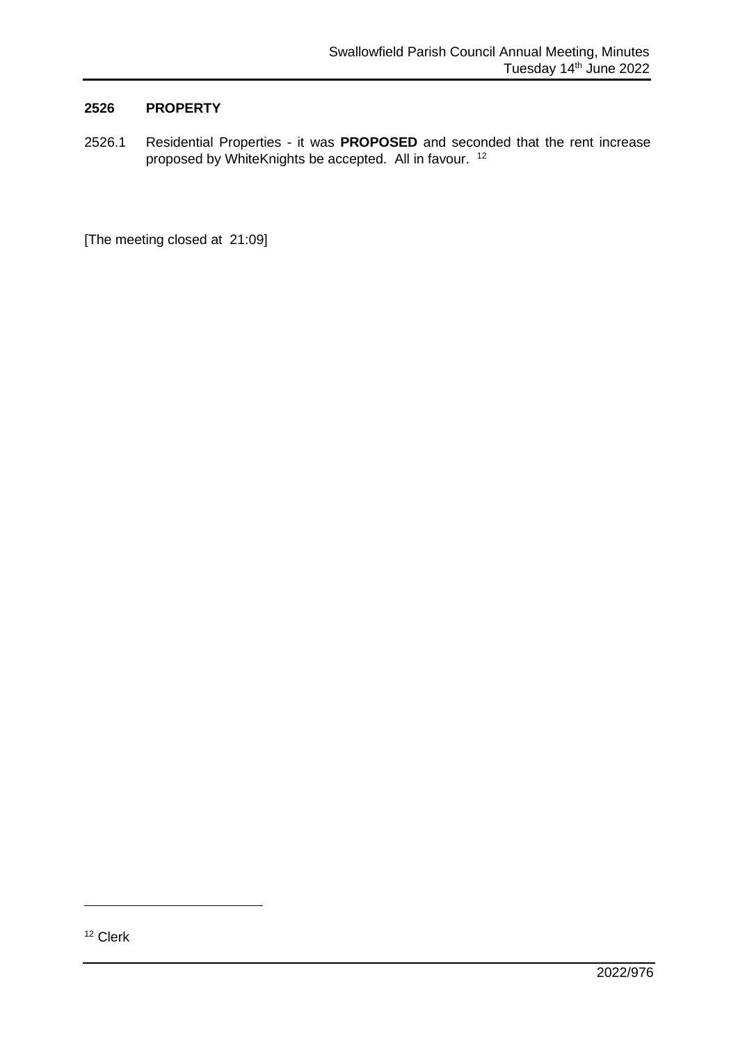### **2526 PROPERTY**

2526.1 Residential Properties - it was **PROPOSED** and seconded that the rent increase proposed by WhiteKnights be accepted. All in favour. <sup>12</sup>

[The meeting closed at 21:09]

<sup>12</sup> Clerk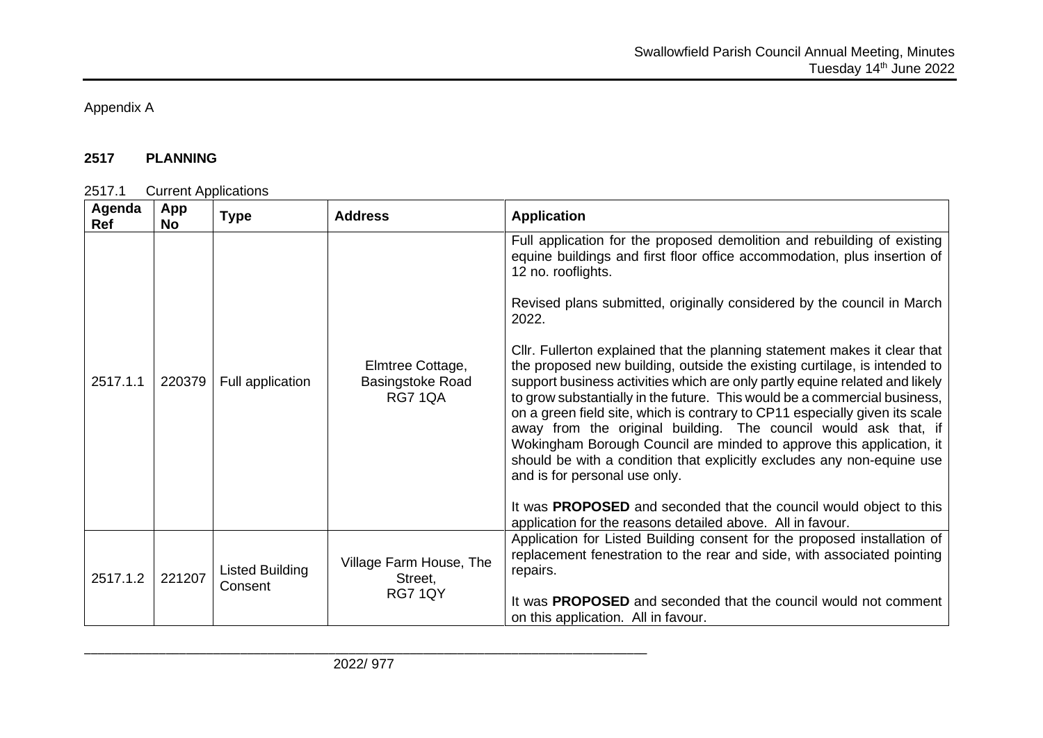# Appendix A

## **2517 PLANNING**

### 2517.1 Current Applications

| Agenda<br>Ref | App<br><b>No</b> | <b>Type</b>                | <b>Address</b>                                         | <b>Application</b>                                                                                                                                                                                                                                                                                                                                                                                                                                                                                                                                                                                                                                                                                                                                                                                                                                                                                                                                                                                                                                                 |
|---------------|------------------|----------------------------|--------------------------------------------------------|--------------------------------------------------------------------------------------------------------------------------------------------------------------------------------------------------------------------------------------------------------------------------------------------------------------------------------------------------------------------------------------------------------------------------------------------------------------------------------------------------------------------------------------------------------------------------------------------------------------------------------------------------------------------------------------------------------------------------------------------------------------------------------------------------------------------------------------------------------------------------------------------------------------------------------------------------------------------------------------------------------------------------------------------------------------------|
| 2517.1.1      | 220379           | Full application           | Elmtree Cottage,<br>Basingstoke Road<br><b>RG7 1QA</b> | Full application for the proposed demolition and rebuilding of existing<br>equine buildings and first floor office accommodation, plus insertion of<br>12 no. rooflights.<br>Revised plans submitted, originally considered by the council in March<br>2022.<br>CIIr. Fullerton explained that the planning statement makes it clear that<br>the proposed new building, outside the existing curtilage, is intended to<br>support business activities which are only partly equine related and likely<br>to grow substantially in the future. This would be a commercial business,<br>on a green field site, which is contrary to CP11 especially given its scale<br>away from the original building. The council would ask that, if<br>Wokingham Borough Council are minded to approve this application, it<br>should be with a condition that explicitly excludes any non-equine use<br>and is for personal use only.<br>It was <b>PROPOSED</b> and seconded that the council would object to this<br>application for the reasons detailed above. All in favour. |
| 2517.1.2      | 221207           | Listed Building<br>Consent | Village Farm House, The<br>Street,<br>RG7 1QY          | Application for Listed Building consent for the proposed installation of<br>replacement fenestration to the rear and side, with associated pointing<br>repairs.<br>It was PROPOSED and seconded that the council would not comment<br>on this application. All in favour.                                                                                                                                                                                                                                                                                                                                                                                                                                                                                                                                                                                                                                                                                                                                                                                          |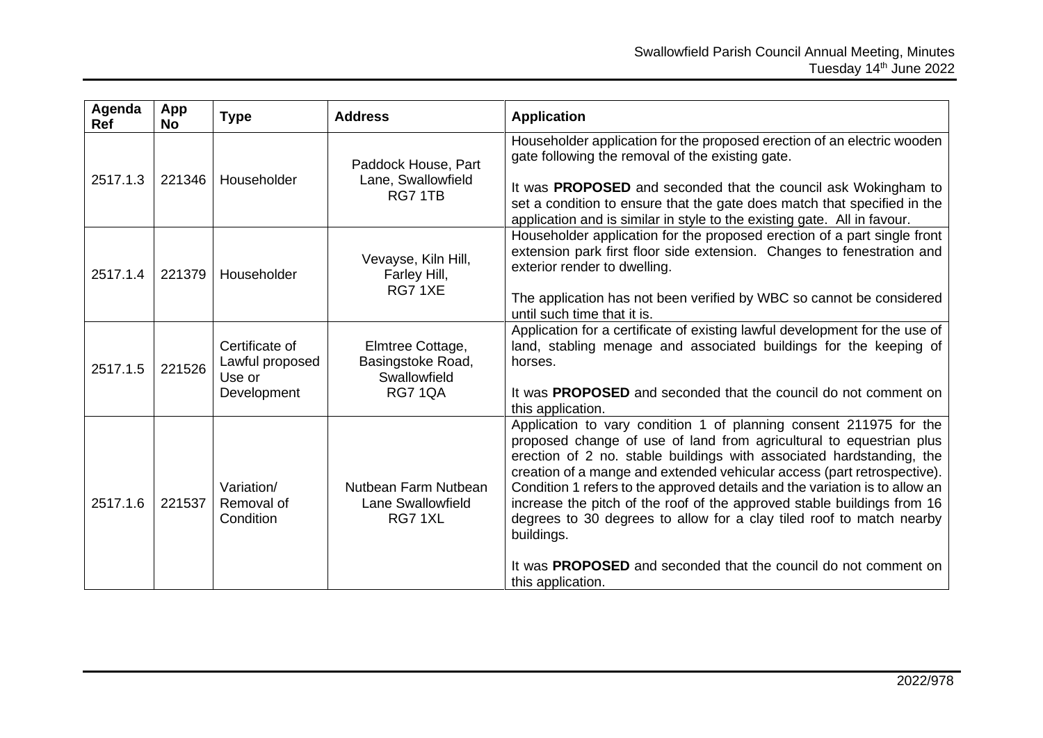| Agenda<br><b>Ref</b> | App<br><b>No</b> | <b>Type</b>                                                | <b>Address</b>                                                          | <b>Application</b>                                                                                                                                                                                                                                                                                                                                                                                                                                                                                                                                                                                                                   |
|----------------------|------------------|------------------------------------------------------------|-------------------------------------------------------------------------|--------------------------------------------------------------------------------------------------------------------------------------------------------------------------------------------------------------------------------------------------------------------------------------------------------------------------------------------------------------------------------------------------------------------------------------------------------------------------------------------------------------------------------------------------------------------------------------------------------------------------------------|
| 2517.1.3             | 221346           | Householder                                                | Paddock House, Part<br>Lane, Swallowfield<br>RG7 1TB                    | Householder application for the proposed erection of an electric wooden<br>gate following the removal of the existing gate.<br>It was <b>PROPOSED</b> and seconded that the council ask Wokingham to<br>set a condition to ensure that the gate does match that specified in the<br>application and is similar in style to the existing gate. All in favour.                                                                                                                                                                                                                                                                         |
| 2517.1.4             | 221379           | Householder                                                | Vevayse, Kiln Hill,<br>Farley Hill,<br>RG71XE                           | Householder application for the proposed erection of a part single front<br>extension park first floor side extension. Changes to fenestration and<br>exterior render to dwelling.<br>The application has not been verified by WBC so cannot be considered<br>until such time that it is.                                                                                                                                                                                                                                                                                                                                            |
| 2517.1.5             | 221526           | Certificate of<br>Lawful proposed<br>Use or<br>Development | Elmtree Cottage,<br>Basingstoke Road,<br>Swallowfield<br><b>RG7 1QA</b> | Application for a certificate of existing lawful development for the use of<br>land, stabling menage and associated buildings for the keeping of<br>horses.<br>It was <b>PROPOSED</b> and seconded that the council do not comment on<br>this application.                                                                                                                                                                                                                                                                                                                                                                           |
| 2517.1.6             | 221537           | Variation/<br>Removal of<br>Condition                      | Nutbean Farm Nutbean<br><b>Lane Swallowfield</b><br>RG71XL              | Application to vary condition 1 of planning consent 211975 for the<br>proposed change of use of land from agricultural to equestrian plus<br>erection of 2 no. stable buildings with associated hardstanding, the<br>creation of a mange and extended vehicular access (part retrospective).<br>Condition 1 refers to the approved details and the variation is to allow an<br>increase the pitch of the roof of the approved stable buildings from 16<br>degrees to 30 degrees to allow for a clay tiled roof to match nearby<br>buildings.<br>It was PROPOSED and seconded that the council do not comment on<br>this application. |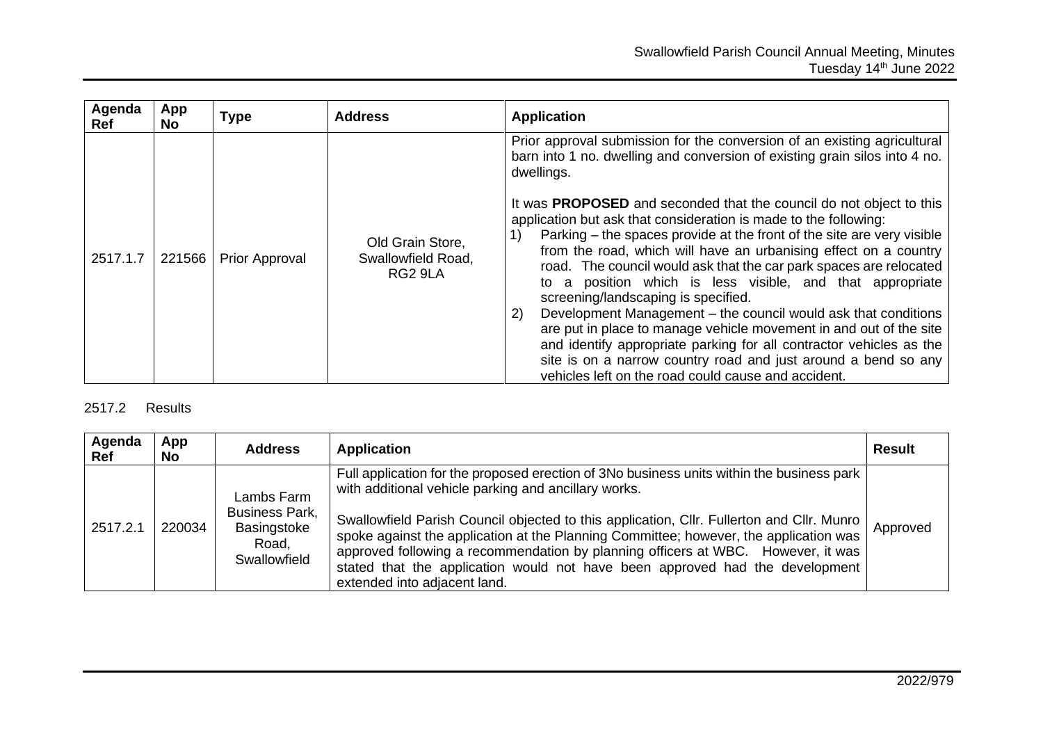| Agenda<br><b>Ref</b> | App<br><b>No</b> | <b>Type</b>           | <b>Address</b>                                    | <b>Application</b>                                                                                                                                                                                                                                                                                                                                                                                                                                                                                                                                                                                                                                                                                                                                                                                                                                                                                                                                                                           |
|----------------------|------------------|-----------------------|---------------------------------------------------|----------------------------------------------------------------------------------------------------------------------------------------------------------------------------------------------------------------------------------------------------------------------------------------------------------------------------------------------------------------------------------------------------------------------------------------------------------------------------------------------------------------------------------------------------------------------------------------------------------------------------------------------------------------------------------------------------------------------------------------------------------------------------------------------------------------------------------------------------------------------------------------------------------------------------------------------------------------------------------------------|
| 2517.1.7             | 221566           | <b>Prior Approval</b> | Old Grain Store,<br>Swallowfield Road,<br>RG2 9LA | Prior approval submission for the conversion of an existing agricultural<br>barn into 1 no. dwelling and conversion of existing grain silos into 4 no.<br>dwellings.<br>It was <b>PROPOSED</b> and seconded that the council do not object to this<br>application but ask that consideration is made to the following:<br>Parking – the spaces provide at the front of the site are very visible<br>from the road, which will have an urbanising effect on a country<br>road. The council would ask that the car park spaces are relocated<br>to a position which is less visible, and that appropriate<br>screening/landscaping is specified.<br>Development Management - the council would ask that conditions<br>2)<br>are put in place to manage vehicle movement in and out of the site<br>and identify appropriate parking for all contractor vehicles as the<br>site is on a narrow country road and just around a bend so any<br>vehicles left on the road could cause and accident. |

## 2517.2 Results

| Agenda<br>Ref | App<br>No. | <b>Address</b>                                                              | <b>Application</b>                                                                                                                                                                                                                                                                                                                                                                                                                                                                                                                          | <b>Result</b> |
|---------------|------------|-----------------------------------------------------------------------------|---------------------------------------------------------------------------------------------------------------------------------------------------------------------------------------------------------------------------------------------------------------------------------------------------------------------------------------------------------------------------------------------------------------------------------------------------------------------------------------------------------------------------------------------|---------------|
| 2517.2.1      | 220034     | Lambs Farm<br><b>Business Park,</b><br>Basingstoke<br>Road,<br>Swallowfield | Full application for the proposed erection of 3No business units within the business park<br>with additional vehicle parking and ancillary works.<br>Swallowfield Parish Council objected to this application, Cllr. Fullerton and Cllr. Munro<br>spoke against the application at the Planning Committee; however, the application was<br>approved following a recommendation by planning officers at WBC. However, it was<br>stated that the application would not have been approved had the development<br>extended into adjacent land. | Approved      |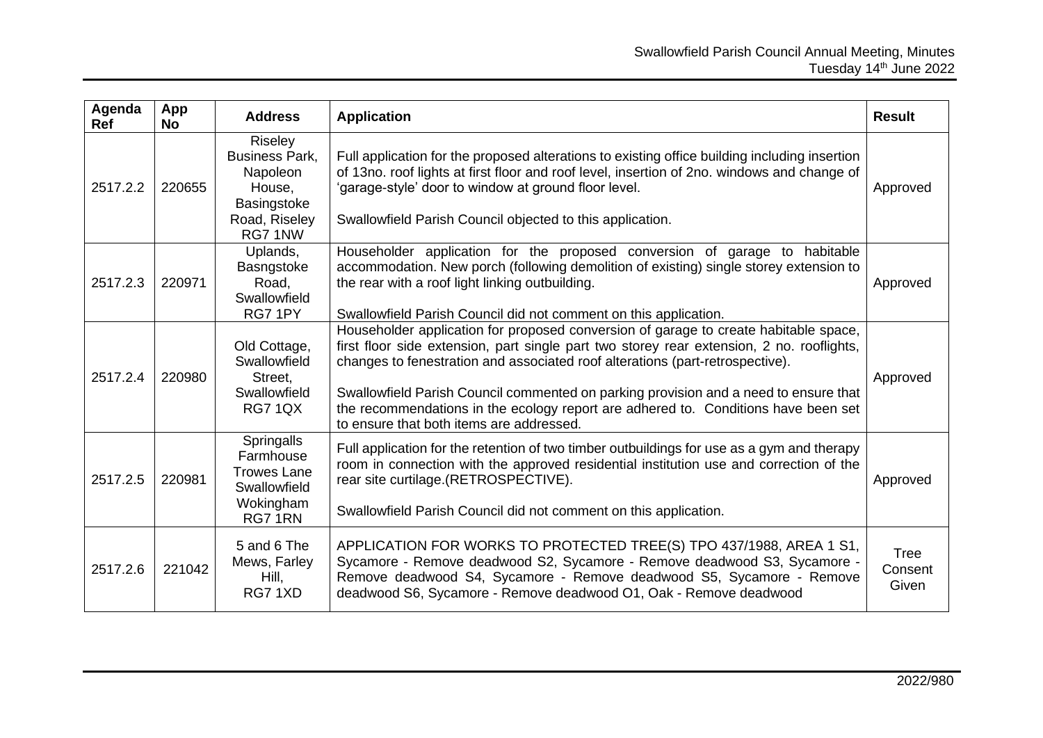| Agenda<br>Ref | App<br><b>No</b> | <b>Address</b>                                                                                   | <b>Application</b>                                                                                                                                                                                                                                                                                                                                                                                                                                                                           | <b>Result</b>                   |
|---------------|------------------|--------------------------------------------------------------------------------------------------|----------------------------------------------------------------------------------------------------------------------------------------------------------------------------------------------------------------------------------------------------------------------------------------------------------------------------------------------------------------------------------------------------------------------------------------------------------------------------------------------|---------------------------------|
| 2517.2.2      | 220655           | Riseley<br><b>Business Park,</b><br>Napoleon<br>House,<br>Basingstoke<br>Road, Riseley<br>RG71NW | Full application for the proposed alterations to existing office building including insertion<br>of 13no. roof lights at first floor and roof level, insertion of 2no. windows and change of<br>'garage-style' door to window at ground floor level.<br>Swallowfield Parish Council objected to this application.                                                                                                                                                                            | Approved                        |
| 2517.2.3      | 220971           | Uplands,<br>Basngstoke<br>Road,<br>Swallowfield<br>RG7 1PY                                       | Householder application for the proposed conversion of garage to habitable<br>accommodation. New porch (following demolition of existing) single storey extension to<br>the rear with a roof light linking outbuilding.<br>Swallowfield Parish Council did not comment on this application.                                                                                                                                                                                                  | Approved                        |
| 2517.2.4      | 220980           | Old Cottage,<br>Swallowfield<br>Street.<br>Swallowfield<br><b>RG7 1QX</b>                        | Householder application for proposed conversion of garage to create habitable space,<br>first floor side extension, part single part two storey rear extension, 2 no. rooflights,<br>changes to fenestration and associated roof alterations (part-retrospective).<br>Swallowfield Parish Council commented on parking provision and a need to ensure that<br>the recommendations in the ecology report are adhered to. Conditions have been set<br>to ensure that both items are addressed. | Approved                        |
| 2517.2.5      | 220981           | Springalls<br>Farmhouse<br><b>Trowes Lane</b><br>Swallowfield<br>Wokingham<br>RG7 1RN            | Full application for the retention of two timber outbuildings for use as a gym and therapy<br>room in connection with the approved residential institution use and correction of the<br>rear site curtilage.(RETROSPECTIVE).<br>Swallowfield Parish Council did not comment on this application.                                                                                                                                                                                             | Approved                        |
| 2517.2.6      | 221042           | 5 and 6 The<br>Mews, Farley<br>Hill,<br>RG71XD                                                   | APPLICATION FOR WORKS TO PROTECTED TREE(S) TPO 437/1988, AREA 1 S1,<br>Sycamore - Remove deadwood S2, Sycamore - Remove deadwood S3, Sycamore -<br>Remove deadwood S4, Sycamore - Remove deadwood S5, Sycamore - Remove<br>deadwood S6, Sycamore - Remove deadwood O1, Oak - Remove deadwood                                                                                                                                                                                                 | <b>Tree</b><br>Consent<br>Given |